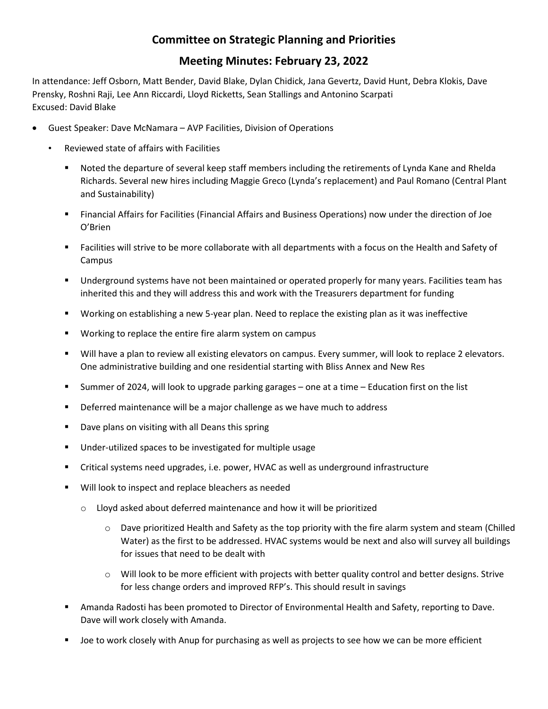## **Committee on Strategic Planning and Priorities**

## **Meeting Minutes: February 23, 2022**

In attendance: Jeff Osborn, Matt Bender, David Blake, Dylan Chidick, Jana Gevertz, David Hunt, Debra Klokis, Dave Prensky, Roshni Raji, Lee Ann Riccardi, Lloyd Ricketts, Sean Stallings and Antonino Scarpati Excused: David Blake

- Guest Speaker: Dave McNamara AVP Facilities, Division of Operations
	- Reviewed state of affairs with Facilities
		- Noted the departure of several keep staff members including the retirements of Lynda Kane and Rhelda Richards. Several new hires including Maggie Greco (Lynda's replacement) and Paul Romano (Central Plant and Sustainability)
		- Financial Affairs for Facilities (Financial Affairs and Business Operations) now under the direction of Joe O'Brien
		- Facilities will strive to be more collaborate with all departments with a focus on the Health and Safety of Campus
		- **Underground systems have not been maintained or operated properly for many years. Facilities team has** inherited this and they will address this and work with the Treasurers department for funding
		- Working on establishing a new 5-year plan. Need to replace the existing plan as it was ineffective
		- Working to replace the entire fire alarm system on campus
		- Will have a plan to review all existing elevators on campus. Every summer, will look to replace 2 elevators. One administrative building and one residential starting with Bliss Annex and New Res
		- Summer of 2024, will look to upgrade parking garages one at a time Education first on the list
		- **•** Deferred maintenance will be a major challenge as we have much to address
		- Dave plans on visiting with all Deans this spring
		- Under-utilized spaces to be investigated for multiple usage
		- Critical systems need upgrades, i.e. power, HVAC as well as underground infrastructure
		- **Will look to inspect and replace bleachers as needed** 
			- o Lloyd asked about deferred maintenance and how it will be prioritized
				- o Dave prioritized Health and Safety as the top priority with the fire alarm system and steam (Chilled Water) as the first to be addressed. HVAC systems would be next and also will survey all buildings for issues that need to be dealt with
				- $\circ$  Will look to be more efficient with projects with better quality control and better designs. Strive for less change orders and improved RFP's. This should result in savings
		- Amanda Radosti has been promoted to Director of Environmental Health and Safety, reporting to Dave. Dave will work closely with Amanda.
		- Joe to work closely with Anup for purchasing as well as projects to see how we can be more efficient